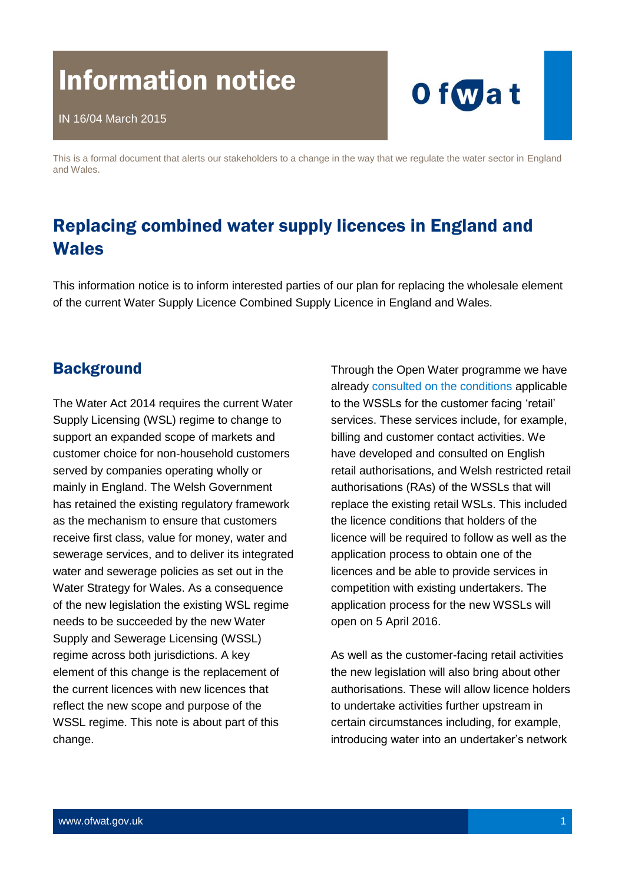# Information notice



This is a formal document that alerts our stakeholders to a change in the way that we regulate the water sector in England and Wales.

# Replacing combined water supply licences in England and **Wales**

This information notice is to inform interested parties of our plan for replacing the wholesale element of the current Water Supply Licence Combined Supply Licence in England and Wales.

#### **Background**

The Water Act 2014 requires the current Water Supply Licensing (WSL) regime to change to support an expanded scope of markets and customer choice for non-household customers served by companies operating wholly or mainly in England. The Welsh Government has retained the existing regulatory framework as the mechanism to ensure that customers receive first class, value for money, water and sewerage services, and to deliver its integrated water and sewerage policies as set out in the Water Strategy for Wales. As a consequence of the new legislation the existing WSL regime needs to be succeeded by the new Water Supply and Sewerage Licensing (WSSL) regime across both jurisdictions. A key element of this change is the replacement of the current licences with new licences that reflect the new scope and purpose of the WSSL regime. This note is about part of this change.

Through the Open Water programme we have already [consulted on the conditions](http://9208a6bdb79020ec0337-99614e491dc8efff25f017339872a32a.r86.cf3.rackcdn.com/wp-content/uploads/2015/06/pap_pos20151209rmolicensing.pdf) applicable to the WSSLs for the customer facing 'retail' services. These services include, for example, billing and customer contact activities. We have developed and consulted on English retail authorisations, and Welsh restricted retail authorisations (RAs) of the WSSLs that will replace the existing retail WSLs. This included the licence conditions that holders of the licence will be required to follow as well as the application process to obtain one of the licences and be able to provide services in competition with existing undertakers. The application process for the new WSSLs will open on 5 April 2016.

As well as the customer-facing retail activities the new legislation will also bring about other authorisations. These will allow licence holders to undertake activities further upstream in certain circumstances including, for example, introducing water into an undertaker's network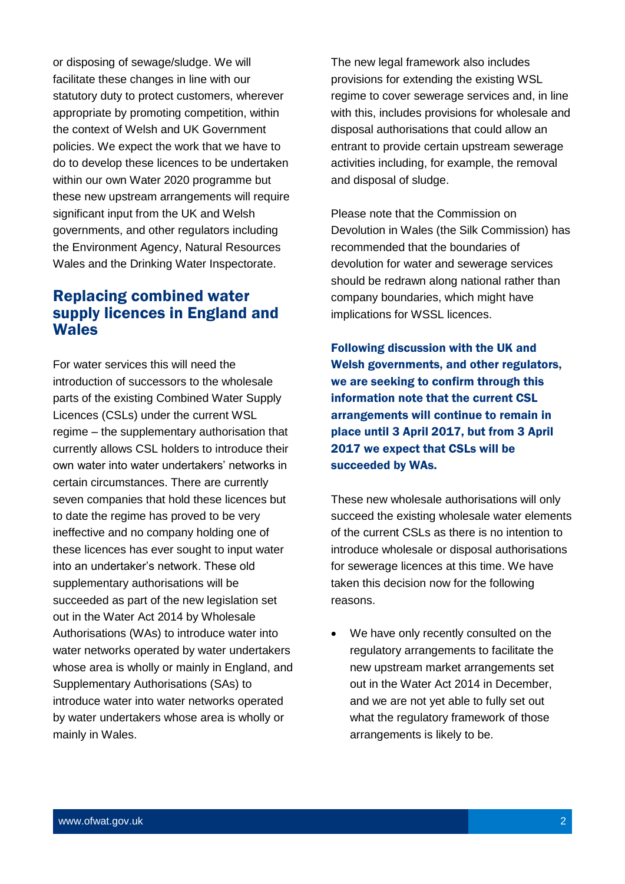or disposing of sewage/sludge. We will facilitate these changes in line with our statutory duty to protect customers, wherever appropriate by promoting competition, within the context of Welsh and UK Government policies. We expect the work that we have to do to develop these licences to be undertaken within our own Water 2020 programme but these new upstream arrangements will require significant input from the UK and Welsh governments, and other regulators including the Environment Agency, Natural Resources Wales and the Drinking Water Inspectorate.

#### Replacing combined water supply licences in England and **Wales**

For water services this will need the introduction of successors to the wholesale parts of the existing Combined Water Supply Licences (CSLs) under the current WSL regime – the supplementary authorisation that currently allows CSL holders to introduce their own water into water undertakers' networks in certain circumstances. There are currently seven companies that hold these licences but to date the regime has proved to be very ineffective and no company holding one of these licences has ever sought to input water into an undertaker's network. These old supplementary authorisations will be succeeded as part of the new legislation set out in the Water Act 2014 by Wholesale Authorisations (WAs) to introduce water into water networks operated by water undertakers whose area is wholly or mainly in England, and Supplementary Authorisations (SAs) to introduce water into water networks operated by water undertakers whose area is wholly or mainly in Wales.

The new legal framework also includes provisions for extending the existing WSL regime to cover sewerage services and, in line with this, includes provisions for wholesale and disposal authorisations that could allow an entrant to provide certain upstream sewerage activities including, for example, the removal and disposal of sludge.

Please note that the Commission on Devolution in Wales (the Silk Commission) has recommended that the boundaries of devolution for water and sewerage services should be redrawn along national rather than company boundaries, which might have implications for WSSL licences.

Following discussion with the UK and Welsh governments, and other regulators, we are seeking to confirm through this information note that the current CSL arrangements will continue to remain in place until 3 April 2017, but from 3 April 2017 we expect that CSLs will be succeeded by WAs.

These new wholesale authorisations will only succeed the existing wholesale water elements of the current CSLs as there is no intention to introduce wholesale or disposal authorisations for sewerage licences at this time. We have taken this decision now for the following reasons.

 We have only recently consulted on the regulatory arrangements to facilitate the new upstream market arrangements set out in the Water Act 2014 in December, and we are not yet able to fully set out what the regulatory framework of those arrangements is likely to be.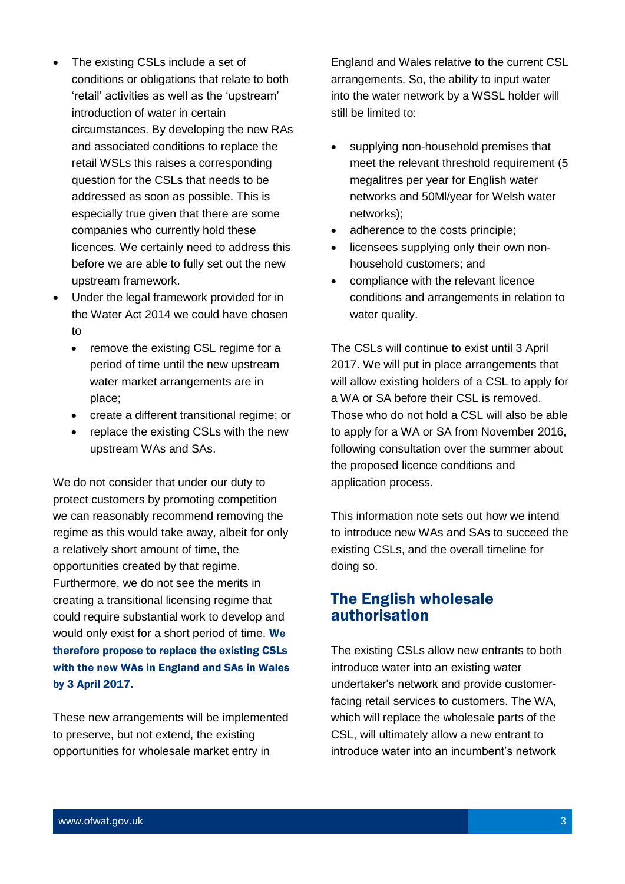- The existing CSLs include a set of conditions or obligations that relate to both 'retail' activities as well as the 'upstream' introduction of water in certain circumstances. By developing the new RAs and associated conditions to replace the retail WSLs this raises a corresponding question for the CSLs that needs to be addressed as soon as possible. This is especially true given that there are some companies who currently hold these licences. We certainly need to address this before we are able to fully set out the new upstream framework.
- Under the legal framework provided for in the Water Act 2014 we could have chosen to
	- remove the existing CSL regime for a period of time until the new upstream water market arrangements are in place;
	- create a different transitional regime; or
	- replace the existing CSLs with the new upstream WAs and SAs.

We do not consider that under our duty to protect customers by promoting competition we can reasonably recommend removing the regime as this would take away, albeit for only a relatively short amount of time, the opportunities created by that regime. Furthermore, we do not see the merits in creating a transitional licensing regime that could require substantial work to develop and would only exist for a short period of time. We therefore propose to replace the existing CSLs with the new WAs in England and SAs in Wales by 3 April 2017.

These new arrangements will be implemented to preserve, but not extend, the existing opportunities for wholesale market entry in

England and Wales relative to the current CSL arrangements. So, the ability to input water into the water network by a WSSL holder will still be limited to:

- supplying non-household premises that meet the relevant threshold requirement (5 megalitres per year for English water networks and 50Ml/year for Welsh water networks);
- adherence to the costs principle;
- licensees supplying only their own nonhousehold customers; and
- compliance with the relevant licence conditions and arrangements in relation to water quality.

The CSLs will continue to exist until 3 April 2017. We will put in place arrangements that will allow existing holders of a CSL to apply for a WA or SA before their CSL is removed. Those who do not hold a CSL will also be able to apply for a WA or SA from November 2016, following consultation over the summer about the proposed licence conditions and application process.

This information note sets out how we intend to introduce new WAs and SAs to succeed the existing CSLs, and the overall timeline for doing so.

#### The English wholesale authorisation

The existing CSLs allow new entrants to both introduce water into an existing water undertaker's network and provide customerfacing retail services to customers. The WA, which will replace the wholesale parts of the CSL, will ultimately allow a new entrant to introduce water into an incumbent's network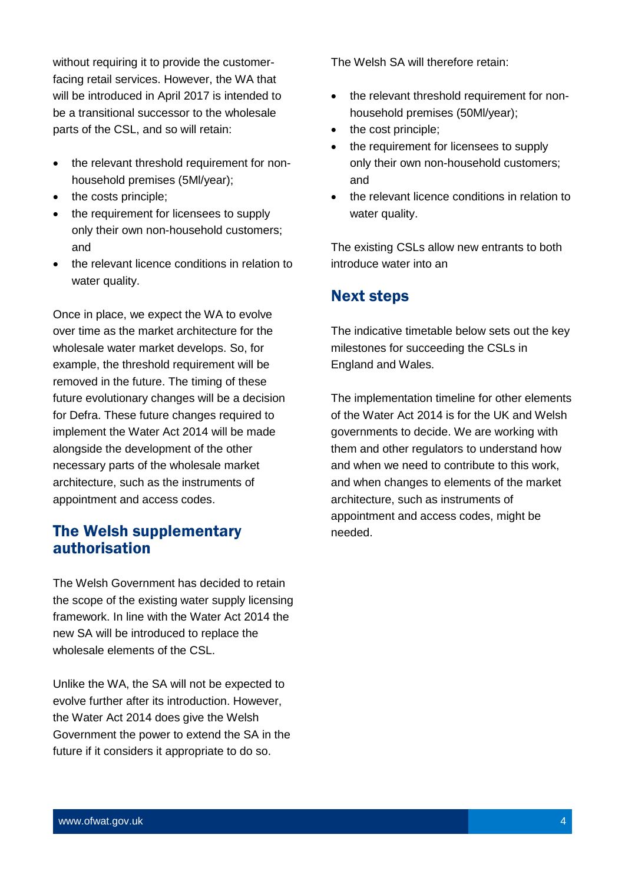without requiring it to provide the customerfacing retail services. However, the WA that will be introduced in April 2017 is intended to be a transitional successor to the wholesale parts of the CSL, and so will retain:

- the relevant threshold requirement for nonhousehold premises (5Ml/year);
- the costs principle;
- the requirement for licensees to supply only their own non-household customers; and
- the relevant licence conditions in relation to water quality.

Once in place, we expect the WA to evolve over time as the market architecture for the wholesale water market develops. So, for example, the threshold requirement will be removed in the future. The timing of these future evolutionary changes will be a decision for Defra. These future changes required to implement the Water Act 2014 will be made alongside the development of the other necessary parts of the wholesale market architecture, such as the instruments of appointment and access codes.

### The Welsh supplementary authorisation

The Welsh Government has decided to retain the scope of the existing water supply licensing framework. In line with the Water Act 2014 the new SA will be introduced to replace the wholesale elements of the CSL.

Unlike the WA, the SA will not be expected to evolve further after its introduction. However, the Water Act 2014 does give the Welsh Government the power to extend the SA in the future if it considers it appropriate to do so.

The Welsh SA will therefore retain:

- the relevant threshold requirement for nonhousehold premises (50Ml/year);
- the cost principle;
- the requirement for licensees to supply only their own non-household customers; and
- the relevant licence conditions in relation to water quality.

The existing CSLs allow new entrants to both introduce water into an

## Next steps

The indicative timetable below sets out the key milestones for succeeding the CSLs in England and Wales.

The implementation timeline for other elements of the Water Act 2014 is for the UK and Welsh governments to decide. We are working with them and other regulators to understand how and when we need to contribute to this work, and when changes to elements of the market architecture, such as instruments of appointment and access codes, might be needed.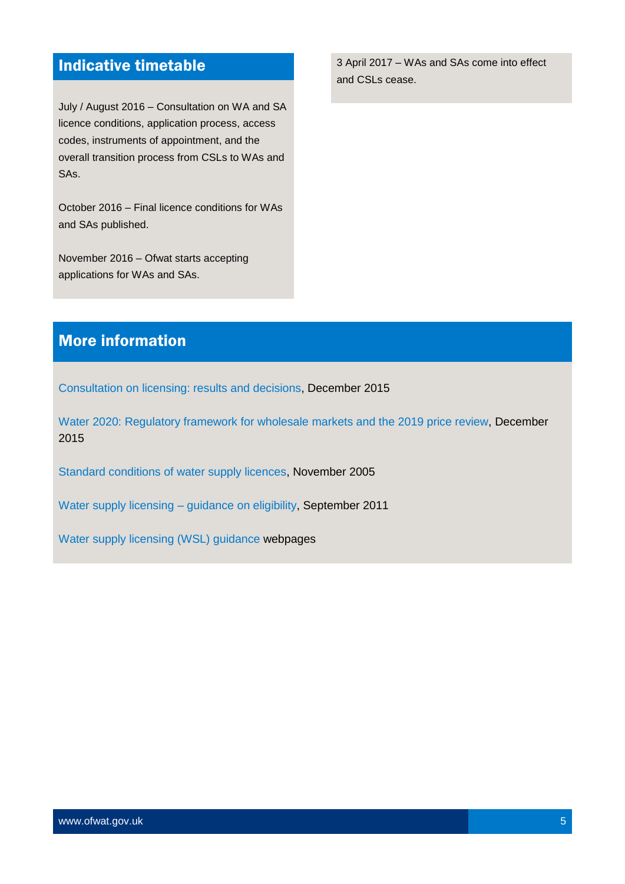# Indicative timetable

July / August 2016 – Consultation on WA and SA licence conditions, application process, access codes, instruments of appointment, and the overall transition process from CSLs to WAs and SAs.

October 2016 – Final licence conditions for WAs and SAs published.

November 2016 – Ofwat starts accepting applications for WAs and SAs.

3 April 2017 – WAs and SAs come into effect and CSLs cease.

## More information

[Consultation on licensing: results and decisions,](http://9208a6bdb79020ec0337-99614e491dc8efff25f017339872a32a.r86.cf3.rackcdn.com/wp-content/uploads/2015/06/pap_pos20151209rmolicensing.pdf) December 2015

[Water 2020: Regulatory framework for wholesale markets and the 2019 price review,](http://9208a6bdb79020ec0337-99614e491dc8efff25f017339872a32a.r86.cf3.rackcdn.com/wp-content/uploads/2015/12/pap_con20150912water2020.pdf) December 2015

[Standard conditions of water supply licences,](http://collections.europarchive.org/tna/20080727101330/http:/www.defra.gov.uk/environment/water/industry/wa03regs/licenceconditions-section17h.pdf) November 2005

[Water supply licensing –](http://9208a6bdb79020ec0337-99614e491dc8efff25f017339872a32a.r86.cf3.rackcdn.com/wp-content/uploads/2015/11/gud_pro_wslelig.pdf) guidance on eligibility, September 2011

[Water supply licensing \(WSL\) guidance](http://www.ofwat.gov.uk/publications/water-supply-licensing-wsl-guidance/) webpages